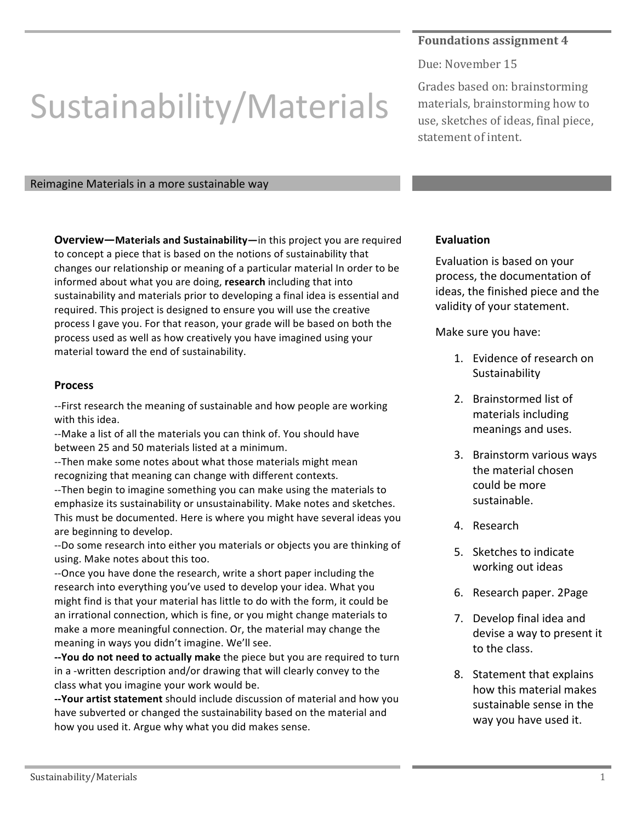## **Foundations assignment 4**

Due: November 15

## Sustainability/Materials

Reimagine Materials in a more sustainable way

**Overview—Materials and Sustainability—in this project you are required** to concept a piece that is based on the notions of sustainability that changes our relationship or meaning of a particular material In order to be informed about what you are doing, **research** including that into sustainability and materials prior to developing a final idea is essential and required. This project is designed to ensure you will use the creative process I gave you. For that reason, your grade will be based on both the process used as well as how creatively you have imagined using your material toward the end of sustainability.

## **Process**

--First research the meaning of sustainable and how people are working with this idea.

--Make a list of all the materials you can think of. You should have between 25 and 50 materials listed at a minimum.

--Then make some notes about what those materials might mean recognizing that meaning can change with different contexts.

--Then begin to imagine something you can make using the materials to emphasize its sustainability or unsustainability. Make notes and sketches. This must be documented. Here is where you might have several ideas you are beginning to develop.

--Do some research into either you materials or objects you are thinking of using. Make notes about this too.

--Once you have done the research, write a short paper including the research into everything you've used to develop your idea. What you might find is that your material has little to do with the form, it could be an irrational connection, which is fine, or you might change materials to make a more meaningful connection. Or, the material may change the meaning in ways you didn't imagine. We'll see.

**--You do not need to actually make** the piece but you are required to turn in a -written description and/or drawing that will clearly convey to the class what you imagine your work would be.

**--Your artist statement** should include discussion of material and how you have subverted or changed the sustainability based on the material and how you used it. Argue why what you did makes sense.

Grades based on: brainstorming materials, brainstorming how to use, sketches of ideas, final piece, statement of intent.

## **Evaluation**

Evaluation is based on your process, the documentation of ideas, the finished piece and the validity of your statement.

Make sure you have:

- 1. Evidence of research on Sustainability
- 2. Brainstormed list of materials including meanings and uses.
- 3. Brainstorm various ways the material chosen could be more sustainable.
- 4. Research
- 5. Sketches to indicate working out ideas
- 6. Research paper. 2Page
- 7. Develop final idea and devise a way to present it to the class.
- 8. Statement that explains how this material makes sustainable sense in the way you have used it.